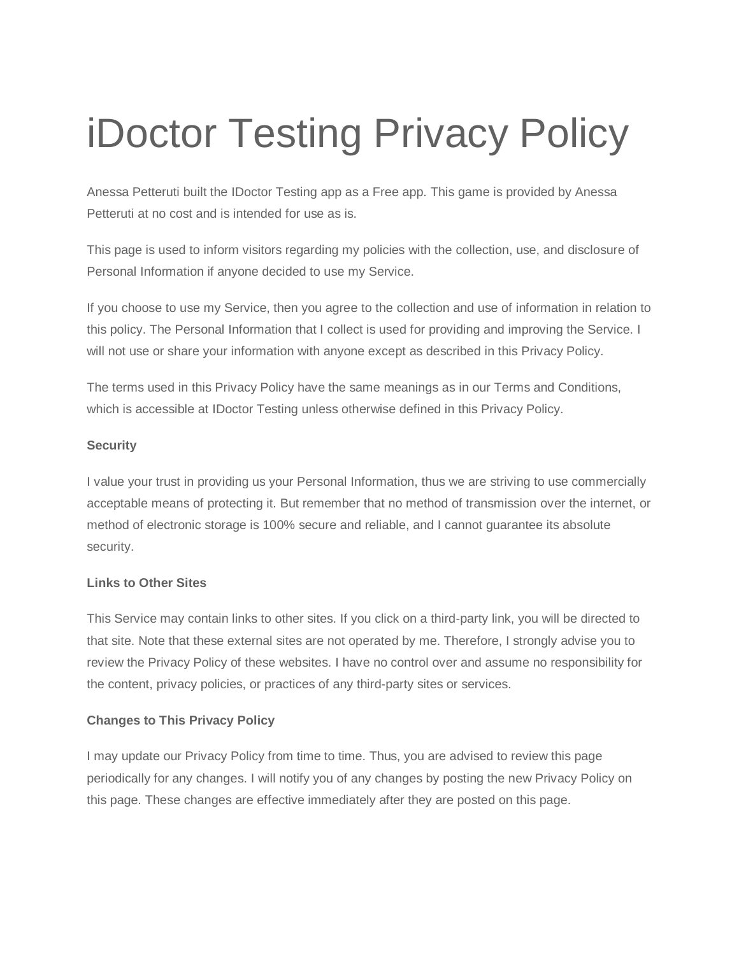# iDoctor Testing Privacy Policy

Anessa Petteruti built the IDoctor Testing app as a Free app. This game is provided by Anessa Petteruti at no cost and is intended for use as is.

This page is used to inform visitors regarding my policies with the collection, use, and disclosure of Personal Information if anyone decided to use my Service.

If you choose to use my Service, then you agree to the collection and use of information in relation to this policy. The Personal Information that I collect is used for providing and improving the Service. I will not use or share your information with anyone except as described in this Privacy Policy.

The terms used in this Privacy Policy have the same meanings as in our Terms and Conditions, which is accessible at IDoctor Testing unless otherwise defined in this Privacy Policy.

## **Security**

I value your trust in providing us your Personal Information, thus we are striving to use commercially acceptable means of protecting it. But remember that no method of transmission over the internet, or method of electronic storage is 100% secure and reliable, and I cannot guarantee its absolute security.

#### **Links to Other Sites**

This Service may contain links to other sites. If you click on a third-party link, you will be directed to that site. Note that these external sites are not operated by me. Therefore, I strongly advise you to review the Privacy Policy of these websites. I have no control over and assume no responsibility for the content, privacy policies, or practices of any third-party sites or services.

## **Changes to This Privacy Policy**

I may update our Privacy Policy from time to time. Thus, you are advised to review this page periodically for any changes. I will notify you of any changes by posting the new Privacy Policy on this page. These changes are effective immediately after they are posted on this page.